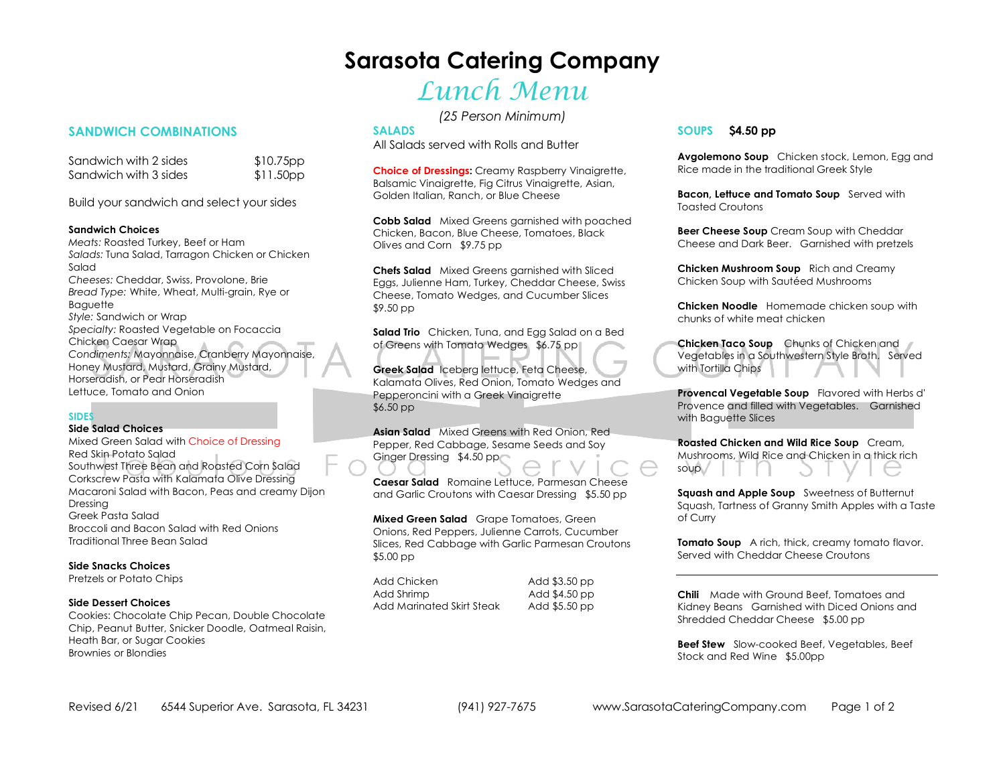## **Sarasota Catering Company**

## Lunch Menu

*(25 Person Minimum)* 

#### **SALADS**

All Salads served with Rolls and Butter

**Choice of Dressings:** Creamy Raspberry Vinaigrette, Balsamic Vinaigrette, Fig Citrus Vinaigrette, Asian, Golden Italian, Ranch, or Blue Cheese

**Cobb Salad** Mixed Greens garnished with poached Chicken, Bacon, Blue Cheese, Tomatoes, Black Olives and Corn \$9.75 pp

**Chefs Salad** Mixed Greens garnished with Sliced Eggs, Julienne Ham, Turkey, Cheddar Cheese, Swiss Cheese, Tomato Wedges, and Cucumber Slices \$9.50 pp

**Salad Trio** Chicken, Tuna, and Egg Salad on a Bed of Greens with Tomato Wedges \$6.75 pp

**Greek Salad** Iceberg lettuce, Feta Cheese, Kalamata Olives, Red Onion, Tomato Wedges and Pepperoncini with a Greek Vinaigrette \$6.50 pp

**Asian Salad** Mixed Greens with Red Onion, Red Pepper, Red Cabbage, Sesame Seeds and Soy Ginger Dressing \$4.50 pp

**Caesar Salad** Romaine Lettuce, Parmesan Cheese and Garlic Croutons with Caesar Dressing \$5.50 pp

**Mixed Green Salad** Grape Tomatoes, Green Onions, Red Peppers, Julienne Carrots, Cucumber Slices, Red Cabbage with Garlic Parmesan Croutons \$5.00 pp

Add Chicken Add \$3.50 pp Add Shrimp Add \$4.50 pp Add Marinated Skirt Steak

Add \$5.50 pp

#### **SOUPS \$4.50 pp**

**Avgolemono Soup** Chicken stock, Lemon, Egg and Rice made in the traditional Greek Style

**Bacon, Lettuce and Tomato Soup** Served with Toasted Croutons

**Beer Cheese Soup** Cream Soup with Cheddar Cheese and Dark Beer. Garnished with pretzels

**Chicken Mushroom Soup** Rich and Creamy Chicken Soup with Sautéed Mushrooms

**Chicken Noodle** Homemade chicken soup with chunks of white meat chicken

**Chicken Taco Soup** Chunks of Chicken and Vegetables in a Southwestern Style Broth. Served with Tortilla Chips

**Provencal Vegetable Soup** Flavored with Herbs d' Provence and filled with Vegetables. Garnished with Baguette Slices

**Roasted Chicken and Wild Rice Soup** Cream, Mushrooms, Wild Rice and Chicken in a thick rich soup

**Squash and Apple Soup** Sweetness of Butternut Squash, Tartness of Granny Smith Apples with a Taste of Curry

**Tomato Soup** A rich, thick, creamy tomato flavor. Served with Cheddar Cheese Croutons

**Chili** Made with Ground Beef, Tomatoes and Kidney Beans Garnished with Diced Onions and Shredded Cheddar Cheese \$5.00 pp

**Beef Stew** Slow-cooked Beef, Vegetables, Beef Stock and Red Wine \$5.00pp

### **SANDWICH COMBINATIONS**

Sandwich with 2 sides \$10.75pp  $$11.50pp$ Sandwich with 3 sides

Build your sandwich and select your sides

#### **Sandwich Choices**

 *Meats:* Roasted Turkey, Beef or Ham *Salads:* Tuna Salad, Tarragon Chicken or Chicken Salad *Cheeses:* Cheddar, Swiss, Provolone, Brie *Bread Type:* White, Wheat, Multi-grain, Rye or **Baguette**  *Style:* Sandwich or Wrap *Specialty:* Roasted Vegetable on Focaccia Chicken Caesar Wrap *Condiments:* Mayonnaise, Cranberry Mayonnaise, Honey Mustard, Mustard, Grainy Mustard, Horseradish, or Pear Horseradish Lettuce, Tomato and Onion

#### **SIDES**

#### **Side Salad Choices**

 Mixed Green Salad with Choice of DressingRed Skin Potato Salad Southwest Three Bean and Roasted Corn Salad Corkscrew Pasta with Kalamata Olive Dressing Macaroni Salad with Bacon, Peas and creamy Dijon Dressing Greek Pasta Salad Broccoli and Bacon Salad with Red Onions Traditional Three Bean Salad

#### **Side Snacks Choices**

Pretzels or Potato Chips

#### **Side Dessert Choices**

 Cookies: Chocolate Chip Pecan, Double Chocolate Chip, Peanut Butter, Snicker Doodle, Oatmeal Raisin, Heath Bar, or Sugar Cookies Brownies or Blondies